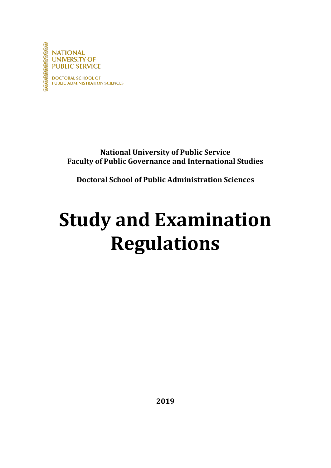

**NATIONAL UNIVERSITY OF PUBLIC SERVICE** 

**DOCTORAL SCHOOL OF PUBLIC ADMINISTRATION SCIENCES** 

> **National University of Public Service Faculty of Public Governance and International Studies**

**Doctoral School of Public Administration Sciences**

# **Study and Examination Regulations**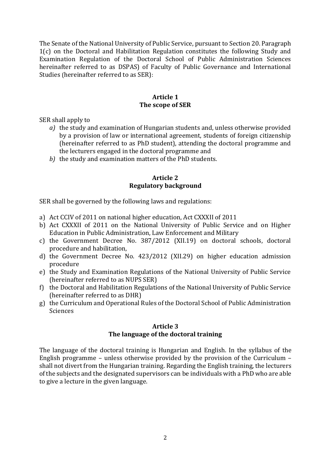The Senate of the National University of Public Service, pursuant to Section 20. Paragraph 1(c) on the Doctoral and Habilitation Regulation constitutes the following Study and Examination Regulation of the Doctoral School of Public Administration Sciences hereinafter referred to as DSPAS) of Faculty of Public Governance and International Studies (hereinafter referred to as SER):

## **Article 1 The scope of SER**

SER shall apply to

- *a)* the study and examination of Hungarian students and, unless otherwise provided by a provision of law or international agreement, students of foreign citizenship (hereinafter referred to as PhD student), attending the doctoral programme and the lecturers engaged in the doctoral programme and
- *b)* the study and examination matters of the PhD students.

#### **Article 2 Regulatory background**

SER shall be governed by the following laws and regulations:

- a) Act CCIV of 2011 on national higher education, Act CXXXII of 2011
- b) Act CXXXII of 2011 on the National University of Public Service and on Higher Education in Public Administration, Law Enforcement and Military
- c) the Government Decree No. 387/2012 (XII.19) on doctoral schools, doctoral procedure and habilitation,
- d) the Government Decree No. 423/2012 (XII.29) on higher education admission procedure
- e) the Study and Examination Regulations of the National University of Public Service (hereinafter referred to as NUPS SER)
- f) the Doctoral and Habilitation Regulations of the National University of Public Service (hereinafter referred to as DHR)
- g) the Curriculum and Operational Rules of the Doctoral School of Public Administration Sciences

#### **Article 3 The language of the doctoral training**

The language of the doctoral training is Hungarian and English. In the syllabus of the English programme – unless otherwise provided by the provision of the Curriculum – shall not divert from the Hungarian training. Regarding the English training, the lecturers of the subjects and the designated supervisors can be individuals with a PhD who are able to give a lecture in the given language.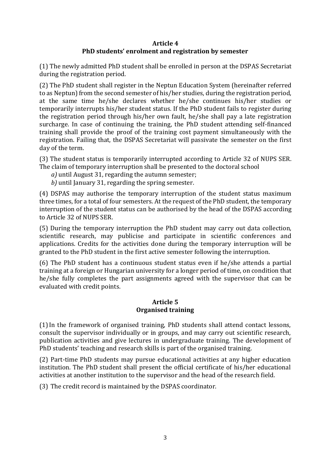# **Article 4 PhD students' enrolment and registration by semester**

(1) The newly admitted PhD student shall be enrolled in person at the DSPAS Secretariat during the registration period.

(2) The PhD student shall register in the Neptun Education System (hereinafter referred to as Neptun) from the second semester of his/her studies, during the registration period, at the same time he/she declares whether he/she continues his/her studies or temporarily interrupts his/her student status. If the PhD student fails to register during the registration period through his/her own fault, he/she shall pay a late registration surcharge. In case of continuing the training, the PhD student attending self-financed training shall provide the proof of the training cost payment simultaneously with the registration. Failing that, the DSPAS Secretariat will passivate the semester on the first day of the term.

(3) The student status is temporarily interrupted according to Article 32 of NUPS SER. The claim of temporary interruption shall be presented to the doctoral school

- *a)* until August 31, regarding the autumn semester;
- *b)* until January 31, regarding the spring semester.

(4) DSPAS may authorise the temporary interruption of the student status maximum three times, for a total of four semesters. At the request of the PhD student, the temporary interruption of the student status can be authorised by the head of the DSPAS according to Article 32 of NUPS SER.

(5) During the temporary interruption the PhD student may carry out data collection, scientific research, may publicise and participate in scientific conferences and applications. Credits for the activities done during the temporary interruption will be granted to the PhD student in the first active semester following the interruption.

(6) The PhD student has a continuous student status even if he/she attends a partial training at a foreign or Hungarian university for a longer period of time, on condition that he/she fully completes the part assignments agreed with the supervisor that can be evaluated with credit points.

# **Article 5 Organised training**

(1)In the framework of organised training, PhD students shall attend contact lessons, consult the supervisor individually or in groups, and may carry out scientific research, publication activities and give lectures in undergraduate training. The development of PhD students' teaching and research skills is part of the organised training.

(2) Part-time PhD students may pursue educational activities at any higher education institution. The PhD student shall present the official certificate of his/her educational activities at another institution to the supervisor and the head of the research field.

(3) The credit record is maintained by the DSPAS coordinator.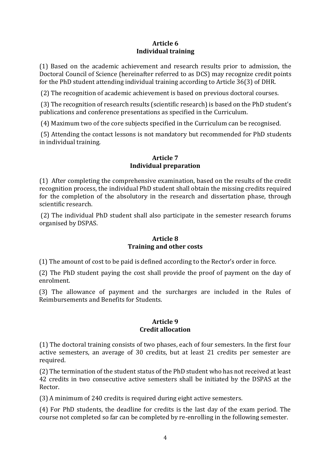# **Article 6 Individual training**

(1) Based on the academic achievement and research results prior to admission, the Doctoral Council of Science (hereinafter referred to as DCS) may recognize credit points for the PhD student attending individual training according to Article 36(3) of DHR.

(2) The recognition of academic achievement is based on previous doctoral courses.

(3) The recognition of research results (scientific research) is based on the PhD student's publications and conference presentations as specified in the Curriculum.

(4) Maximum two of the core subjects specified in the Curriculum can be recognised.

(5) Attending the contact lessons is not mandatory but recommended for PhD students in individual training.

## **Article 7 Individual preparation**

(1) After completing the comprehensive examination, based on the results of the credit recognition process, the individual PhD student shall obtain the missing credits required for the completion of the absolutory in the research and dissertation phase, through scientific research.

(2) The individual PhD student shall also participate in the semester research forums organised by DSPAS.

# **Article 8 Training and other costs**

(1) The amount of cost to be paid is defined according to the Rector's order in force.

(2) The PhD student paying the cost shall provide the proof of payment on the day of enrolment.

(3) The allowance of payment and the surcharges are included in the Rules of Reimbursements and Benefits for Students.

# **Article 9 Credit allocation**

(1) The doctoral training consists of two phases, each of four semesters. In the first four active semesters, an average of 30 credits, but at least 21 credits per semester are required.

(2) The termination of the student status of the PhD student who has not received at least 42 credits in two consecutive active semesters shall be initiated by the DSPAS at the Rector.

(3) A minimum of 240 credits is required during eight active semesters.

(4) For PhD students, the deadline for credits is the last day of the exam period. The course not completed so far can be completed by re-enrolling in the following semester.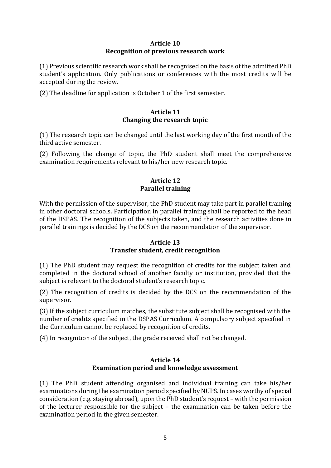#### **Article 10 Recognition of previous research work**

(1) Previous scientific research work shall be recognised on the basis of the admitted PhD student's application. Only publications or conferences with the most credits will be accepted during the review.

(2) The deadline for application is October 1 of the first semester.

#### **Article 11 Changing the research topic**

(1) The research topic can be changed until the last working day of the first month of the third active semester.

(2) Following the change of topic, the PhD student shall meet the comprehensive examination requirements relevant to his/her new research topic.

## **Article 12 Parallel training**

With the permission of the supervisor, the PhD student may take part in parallel training in other doctoral schools. Participation in parallel training shall be reported to the head of the DSPAS. The recognition of the subjects taken, and the research activities done in parallel trainings is decided by the DCS on the recommendation of the supervisor.

# **Article 13 Transfer student, credit recognition**

(1) The PhD student may request the recognition of credits for the subject taken and completed in the doctoral school of another faculty or institution, provided that the subject is relevant to the doctoral student's research topic.

(2) The recognition of credits is decided by the DCS on the recommendation of the supervisor.

(3) If the subject curriculum matches, the substitute subject shall be recognised with the number of credits specified in the DSPAS Curriculum. A compulsory subject specified in the Curriculum cannot be replaced by recognition of credits.

(4) In recognition of the subject, the grade received shall not be changed.

# **Article 14 Examination period and knowledge assessment**

(1) The PhD student attending organised and individual training can take his/her examinations during the examination period specified by NUPS. In cases worthy of special consideration (e.g. staying abroad), upon the PhD student's request – with the permission of the lecturer responsible for the subject – the examination can be taken before the examination period in the given semester.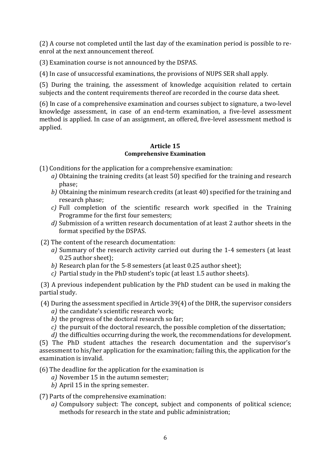(2) A course not completed until the last day of the examination period is possible to reenrol at the next announcement thereof.

(3) Examination course is not announced by the DSPAS.

(4) In case of unsuccessful examinations, the provisions of NUPS SER shall apply.

(5) During the training, the assessment of knowledge acquisition related to certain subjects and the content requirements thereof are recorded in the course data sheet.

(6) In case of a comprehensive examination and courses subject to signature, a two-level knowledge assessment, in case of an end-term examination, a five-level assessment method is applied. In case of an assignment, an offered, five-level assessment method is applied.

# **Article 15 Comprehensive Examination**

(1) Conditions for the application for a comprehensive examination:

- *a)* Obtaining the training credits (at least 50) specified for the training and research phase;
- *b)* Obtaining the minimum research credits (at least 40) specified for the training and research phase;
- *c)* Full completion of the scientific research work specified in the Training Programme for the first four semesters;
- *d)* Submission of a written research documentation of at least 2 author sheets in the format specified by the DSPAS.
- (2) The content of the research documentation:
	- *a)* Summary of the research activity carried out during the 1-4 semesters (at least 0.25 author sheet);
	- *b)* Research plan for the 5-8 semesters (at least 0.25 author sheet);
	- *c)* Partial study in the PhD student's topic (at least 1.5 author sheets).

(3) A previous independent publication by the PhD student can be used in making the partial study.

- (4) During the assessment specified in Article 39(4) of the DHR, the supervisor considers *a)* the candidate's scientific research work;
	- *b)* the progress of the doctoral research so far;
	- *c)* the pursuit of the doctoral research, the possible completion of the dissertation;
	- *d)* the difficulties occurring during the work, the recommendations for development.

(5) The PhD student attaches the research documentation and the supervisor's assessment to his/her application for the examination; failing this, the application for the examination is invalid.

(6) The deadline for the application for the examination is

- *a)* November 15 in the autumn semester;
- *b)* April 15 in the spring semester.

# (7) Parts of the comprehensive examination:

*a)* Compulsory subject: The concept, subject and components of political science; methods for research in the state and public administration;